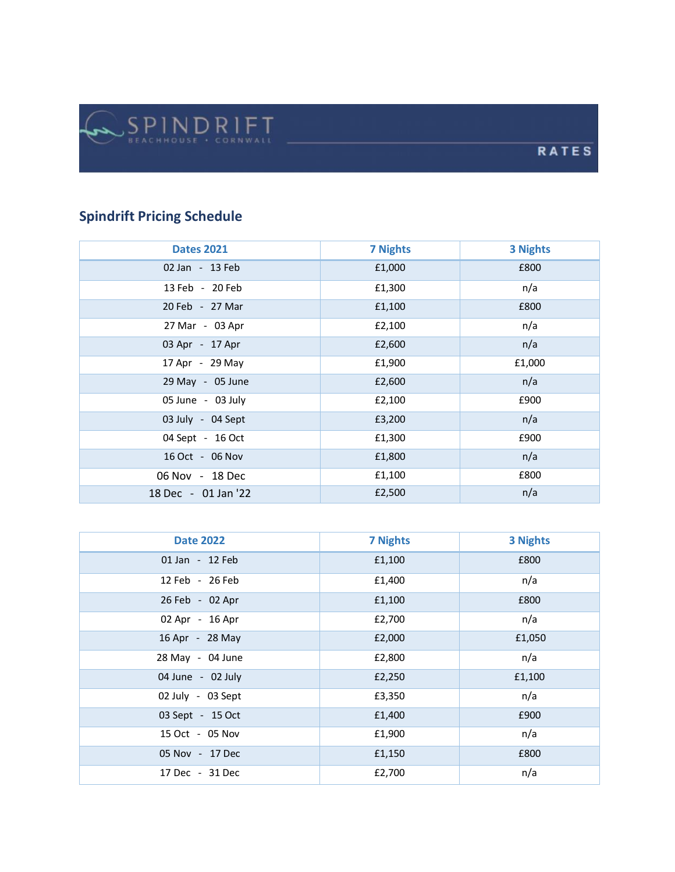## **Spindrift Pricing Schedule**

| <b>Dates 2021</b>   | <b>7 Nights</b> | <b>3 Nights</b> |
|---------------------|-----------------|-----------------|
| 02 Jan - 13 Feb     | £1,000          | £800            |
| 13 Feb - 20 Feb     | £1,300          | n/a             |
| 20 Feb - 27 Mar     | £1,100          | £800            |
| 27 Mar - 03 Apr     | £2,100          | n/a             |
| 03 Apr - 17 Apr     | £2,600          | n/a             |
| 17 Apr - 29 May     | £1,900          | £1,000          |
| 29 May - 05 June    | £2,600          | n/a             |
| 05 June - 03 July   | £2,100          | £900            |
| 03 July - 04 Sept   | £3,200          | n/a             |
| 04 Sept - 16 Oct    | £1,300          | £900            |
| 16 Oct - 06 Nov     | £1,800          | n/a             |
| 06 Nov - 18 Dec     | £1,100          | £800            |
| 18 Dec - 01 Jan '22 | £2,500          | n/a             |

| <b>Date 2022</b>  | <b>7 Nights</b> | <b>3 Nights</b> |
|-------------------|-----------------|-----------------|
| 01 Jan - 12 Feb   | £1,100          | £800            |
| 12 Feb - 26 Feb   | £1,400          | n/a             |
| 26 Feb - 02 Apr   | £1,100          | £800            |
| 02 Apr - 16 Apr   | £2,700          | n/a             |
| 16 Apr - 28 May   | £2,000          | £1,050          |
| 28 May - 04 June  | £2,800          | n/a             |
| 04 June - 02 July | £2,250          | £1,100          |
| 02 July - 03 Sept | £3,350          | n/a             |
| 03 Sept - 15 Oct  | £1,400          | £900            |
| 15 Oct - 05 Nov   | £1,900          | n/a             |
| 05 Nov - 17 Dec   | £1,150          | £800            |
| 17 Dec - 31 Dec   | £2,700          | n/a             |